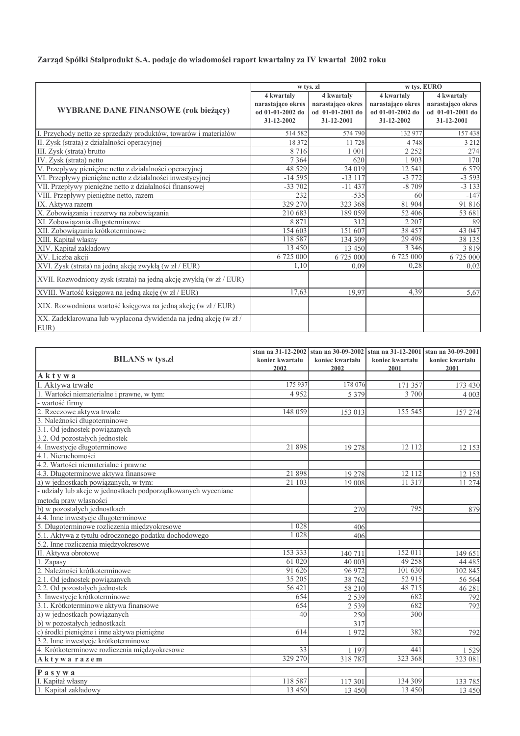## Zarząd Spółki Stalprodukt S.A. podaje do wiadomości raport kwartalny za IV kwartał 2002 roku

|                                                                    |                   | w tys. zł         | w tys. EURO       |                   |
|--------------------------------------------------------------------|-------------------|-------------------|-------------------|-------------------|
|                                                                    | 4 kwartały        | 4 kwartały        | 4 kwartały        | 4 kwartały        |
|                                                                    | narastająco okres | narastająco okres | narastająco okres | narastająco okres |
| <b>WYBRANE DANE FINANSOWE (rok bieżący)</b>                        | od 01-01-2002 do  | od 01-01-2001 do  | od 01-01-2002 do  | od 01-01-2001 do  |
|                                                                    | 31-12-2002        | 31-12-2001        | 31-12-2002        | 31-12-2001        |
| I. Przychody netto ze sprzedaży produktów, towarów i materiałów    | 514 582           | 574 790           | 132 977           | 157438            |
| II. Zysk (strata) z działalności operacyjnej                       | 18 372            | 11728             | 4 7 4 8           | 3 2 1 2           |
| III. Zysk (strata) brutto                                          | 8716              | 1 0 0 1           | 2 2 5 2           | 274               |
| IV. Zysk (strata) netto                                            | 7 3 6 4           | 620               | 1 903             | 170               |
| V. Przepływy pieniężne netto z działalności operacyjnej            | 48 5 29           | 24 019            | 12 541            | 6 5 7 9           |
| VI. Przepływy pieniężne netto z działalności inwestycyjnej         | $-14595$          | $-13117$          | $-3772$           | $-3593$           |
| VII. Przepływy pieniężne netto z działalności finansowej           | $-33702$          | $-11437$          | $-8709$           | $-3133$           |
| VIII. Przepływy pieniężne netto, razem                             | 232               | $-535$            | 60                | $-147$            |
| IX. Aktywa razem                                                   | 329 270           | 323 368           | 81 904            | 91816             |
| X. Zobowiązania i rezerwy na zobowiązania                          | 210 683           | 189 059           | 52 406            | 53 681            |
| XI. Zobowiązania długoterminowe                                    | 8 8 7 1           | 312               | 2 2 0 7           | 89                |
| XII. Zobowiązania krótkoterminowe                                  | 154 603           | 151 607           | 38 457            | 43 047            |
| XIII. Kapital własny                                               | 118 587           | 134 309           | 29 4 98           | 38 135            |
| XIV. Kapitał zakładowy                                             | 13 450            | 13 450            | 3 3 4 6           | 3819              |
| XV. Liczba akcji                                                   | 6 725 000         | 6 725 000         | 6 725 000         | 6 725 000         |
| XVI. Zysk (strata) na jedną akcję zwykłą (w zł / EUR)              | 1,10              | 0.09              | 0.28              | 0,02              |
| XVII. Rozwodniony zysk (strata) na jedną akcję zwykłą (w zł / EUR) |                   |                   |                   |                   |
| XVIII. Wartość księgowa na jedną akcję (w zł / EUR)                | 17,63             | 19,97             | 4,39              | 5,67              |
| XIX. Rozwodniona wartość księgowa na jedną akcję (w zł / EUR)      |                   |                   |                   |                   |
| XX. Zadeklarowana lub wypłacona dywidenda na jedną akcję (w zł/    |                   |                   |                   |                   |
| EUR)                                                               |                   |                   |                   |                   |

|                                                               |                 | stan na 31-12-2002 stan na 30-09-2002 |                 | stan na 31-12-2001 stan na 30-09-2001 |
|---------------------------------------------------------------|-----------------|---------------------------------------|-----------------|---------------------------------------|
| <b>BILANS</b> w tys.zł                                        | koniec kwartału | koniec kwartału                       | koniec kwartału | koniec kwartału                       |
|                                                               | 2002            | 2002                                  | 2001            | 2001                                  |
| Aktywa                                                        |                 |                                       |                 |                                       |
| I. Aktywa trwałe                                              | 175 937         | 178 076                               | 171 357         | 173 430                               |
| 1. Wartości niematerialne i prawne, w tym:                    | 4952            | 5 3 7 9                               | 3 700           | 4 0 0 3                               |
| - wartość firmy                                               |                 |                                       |                 |                                       |
| 2. Rzeczowe aktywa trwałe                                     | 148 059         | 153 013                               | 155 545         | 157 274                               |
| 3. Należności długoterminowe                                  |                 |                                       |                 |                                       |
| 3.1. Od jednostek powiązanych                                 |                 |                                       |                 |                                       |
| 3.2. Od pozostałych jednostek                                 |                 |                                       |                 |                                       |
| 4. Inwestycje długoterminowe                                  | 21 898          | 19 278                                | 12 112          | 12 153                                |
| 4.1. Nieruchomości                                            |                 |                                       |                 |                                       |
| 4.2. Wartości niematerialne i prawne                          |                 |                                       |                 |                                       |
| 4.3. Długoterminowe aktywa finansowe                          | 21898           | 19 278                                | 12 112          | 12 153                                |
| a) w jednostkach powiązanych, w tym:                          | 21 103          | 19 008                                | 11 317          | 11 274                                |
| - udziały lub akcje w jednostkach podporządkowanych wyceniane |                 |                                       |                 |                                       |
| metodą praw własności                                         |                 |                                       |                 |                                       |
| b) w pozostałych jednostkach                                  |                 | 270                                   | 795             | 879                                   |
| 4.4. Inne inwestycje długoterminowe                           |                 |                                       |                 |                                       |
| 5. Długoterminowe rozliczenia międzyokresowe                  | 1 0 2 8         | 406                                   |                 |                                       |
| 5.1. Aktywa z tytułu odroczonego podatku dochodowego          | 1 0 2 8         | 406                                   |                 |                                       |
| 5.2. Inne rozliczenia międzyokresowe                          |                 |                                       |                 |                                       |
| II. Aktywa obrotowe                                           | 153 333         | 140 711                               | 152 011         | 149 651                               |
| 1. Zapasy                                                     | 61 020          | 40 003                                | 49 25 8         | 44 485                                |
| 2. Należności krótkoterminowe                                 | 91 626          | 96 972                                | 101 630         | 102 845                               |
| 2.1. Od jednostek powiązanych                                 | 35 205          | 38 762                                | 52 915          | 56 564                                |
| 2.2. Od pozostałych jednostek                                 | 56 421          | 58 210                                | 48 715          | 46 28 1                               |
| 3. Inwestycje krótkoterminowe                                 | 654             | 2 5 3 9                               | 682             | 792                                   |
| 3.1. Krótkoterminowe aktywa finansowe                         | 654             | 2 5 3 9                               | 682             | 792                                   |
| a) w jednostkach powiązanych                                  | 40              | 250                                   | 300             |                                       |
| b) w pozostałych jednostkach                                  |                 | 317                                   |                 |                                       |
| c) środki pieniężne i inne aktywa pieniężne                   | 614             | 1972                                  | 382             | 792                                   |
| 3.2. Inne inwestycje krótkoterminowe                          |                 |                                       |                 |                                       |
| 4. Krótkoterminowe rozliczenia międzyokresowe                 | $\overline{33}$ | 1 1 9 7                               | 441             | 1529                                  |
| Aktywa razem                                                  | 329 270         | 318787                                | 323 368         | 323 081                               |
| Pasywa                                                        |                 |                                       |                 |                                       |
| I. Kapitał własny                                             | 118 587         | 117 301                               | 134 309         | 133 785                               |
| 1. Kapitał zakładowy                                          | 13 450          | 13 450                                | 13 450          | 13 450                                |
|                                                               |                 |                                       |                 |                                       |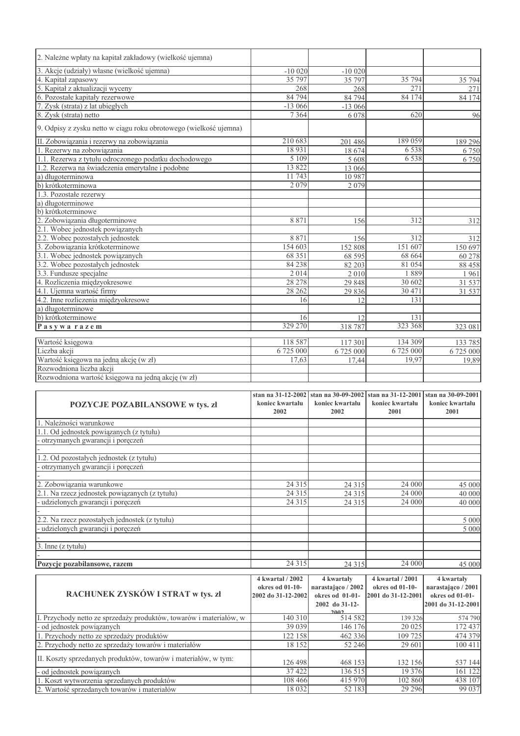| POZYCJE POZABILANSOWE w tys. zł                                                                                 | stan na 31-12-2002<br>koniec kwartału<br>2002 | stan na 30-09-2002<br>koniec kwartału<br>2002 | stan na 31-12-2001<br>koniec kwartału<br>2001 | stan na 30-09-2001<br>koniec kwartału<br>2001 |
|-----------------------------------------------------------------------------------------------------------------|-----------------------------------------------|-----------------------------------------------|-----------------------------------------------|-----------------------------------------------|
|                                                                                                                 |                                               |                                               |                                               |                                               |
| Rozwodniona wartość księgowa na jedną akcję (w zł)                                                              |                                               |                                               |                                               |                                               |
| Rozwodniona liczba akcji                                                                                        |                                               |                                               |                                               |                                               |
| Wartość księgowa na jedną akcję (w zł)                                                                          | 17,63                                         | 17.44                                         | 19.97                                         | 6 725 000<br>19,89                            |
| Liczba akcji                                                                                                    | 6 725 000                                     | 6 725 000                                     | 6 725 000                                     | 133 785                                       |
| Wartość księgowa                                                                                                | 118 587                                       | 117 301                                       | 134 309                                       |                                               |
| Pasywarazem                                                                                                     | 329 270                                       | 318787                                        | 323 368                                       | 323 081                                       |
| b) krótkoterminowe                                                                                              | 16                                            | 12                                            | 131                                           |                                               |
| a) długoterminowe                                                                                               |                                               |                                               |                                               |                                               |
| 4.2. Inne rozliczenia międzyokresowe                                                                            | 16                                            | 12                                            | 131                                           |                                               |
| 4.1. Ujemna wartość firmy                                                                                       | 28 26 2                                       | 29 836                                        | 30 471                                        | 31 537                                        |
| 4. Rozliczenia międzyokresowe                                                                                   | 28 278                                        | 29 848                                        | 30 602                                        | 31 537                                        |
| 3.3. Fundusze specjalne                                                                                         | 2014                                          | 2010                                          | 1889                                          | 1961                                          |
| 3.2. Wobec pozostałych jednostek                                                                                | 84 238                                        | 82 203                                        | 81 054                                        | 88 458                                        |
| 3.1. Wobec jednostek powiązanych                                                                                | 68 351                                        | 68 595                                        | 68 664                                        | 60 278                                        |
| 3. Zobowiązania krótkoterminowe                                                                                 | 154 603                                       | 152 808                                       | 151 607                                       | 150 697                                       |
| 2.2. Wobec pozostałych jednostek                                                                                | 8 8 7 1                                       | 156                                           | 312                                           | 312                                           |
| 2.1. Wobec jednostek powiązanych                                                                                |                                               |                                               |                                               |                                               |
| 2. Zobowiązania długoterminowe                                                                                  | 8871                                          | 156                                           | 312                                           | 312                                           |
| b) krótkoterminowe                                                                                              |                                               |                                               |                                               |                                               |
| a) długoterminowe                                                                                               |                                               |                                               |                                               |                                               |
| 1.3. Pozostałe rezerwy                                                                                          |                                               |                                               |                                               |                                               |
| b) krótkoterminowa                                                                                              | 2079                                          | 2079                                          |                                               |                                               |
| a) długoterminowa                                                                                               | 11 743                                        | 10 987                                        |                                               |                                               |
| 1.2. Rezerwa na świadczenia emerytalne i podobne                                                                | 13 822                                        | 13 066                                        |                                               |                                               |
| 1.1. Rezerwa z tytułu odroczonego podatku dochodowego                                                           | 5109                                          | 5 608                                         | 6 5 3 8                                       | 6750                                          |
| 1. Rezerwy na zobowiązania                                                                                      | 18931                                         | 18 674                                        | 6 5 3 8                                       | 6750                                          |
| 9. Odpisy z zysku netto w ciągu roku obrotowego (wielkość ujemna)<br>II. Zobowiązania i rezerwy na zobowiązania | 210 683                                       | 201 486                                       | 189 059                                       | 189 296                                       |
|                                                                                                                 |                                               |                                               |                                               |                                               |
| 8. Zysk (strata) netto                                                                                          | 7 3 6 4                                       | 6 0 7 8                                       | 620                                           | 96                                            |
| 7. Zysk (strata) z lat ubiegłych                                                                                | $-13066$                                      | $-13066$                                      |                                               |                                               |
| 5. Kapitał z aktualizacji wyceny<br>6. Pozostałe kapitały rezerwowe                                             | 84 794                                        | 268<br>84 794                                 | 84 174                                        | 271<br>84 174                                 |
| 4. Kapitał zapasowy                                                                                             | 268                                           | 35 797                                        | 271                                           | 35 794                                        |
| 3. Akcje (udziały) własne (wielkość ujemna)                                                                     | $-100020$<br>35 797                           | $-100020$                                     | 35 794                                        |                                               |
|                                                                                                                 |                                               |                                               |                                               |                                               |
| 2. Należne wpłaty na kapitał zakładowy (wielkość ujemna)                                                        |                                               |                                               |                                               |                                               |

| <b>POZYCJE POZABILANSOWE</b> w tys. zł         | koniec kwartału<br>2002 | koniec kwartału<br>2002 | koniec kwartału<br>2001 | koniec kwartału<br>2001 |
|------------------------------------------------|-------------------------|-------------------------|-------------------------|-------------------------|
| 1. Należności warunkowe                        |                         |                         |                         |                         |
| 1.1. Od jednostek powiązanych (z tytułu)       |                         |                         |                         |                         |
| - otrzymanych gwarancji i poręczeń             |                         |                         |                         |                         |
|                                                |                         |                         |                         |                         |
| 1.2. Od pozostałych jednostek (z tytułu)       |                         |                         |                         |                         |
| - otrzymanych gwarancji i poręczeń             |                         |                         |                         |                         |
|                                                |                         |                         |                         |                         |
| 2. Zobowiązania warunkowe                      | 24 3 15                 | 24 3 1 5                | 24 000                  | 45 000                  |
| 2.1. Na rzecz jednostek powiązanych (z tytułu) | 24 3 1 5                | 24 3 15                 | 24 000                  | 40 000                  |
| - udzielonych gwarancji i poręczeń             | 24 3 15                 | 24 3 15                 | 24 000                  | 40 000                  |
|                                                |                         |                         |                         |                         |
| 2.2. Na rzecz pozostałych jednostek (z tytułu) |                         |                         |                         | 5 0 0 0                 |
| - udzielonych gwarancji i poręczeń             |                         |                         |                         | 5 0 0 0                 |
|                                                |                         |                         |                         |                         |
| 3. Inne (z tytułu)                             |                         |                         |                         |                         |
|                                                |                         |                         |                         |                         |
| Pozycje pozabilansowe, razem                   | 24 3 15                 | 24 3 15                 | 24 000                  | 45 000                  |
|                                                | 4 kwartał / 2002        | 4 kwartały              | 4 kwartał / 2001        | 4 kwartały              |
|                                                | okres od 01-10-         | narastająco / 2002      | okres od 01-10-         | narastająco / 2001      |
| RACHUNEK ZYSKÓW I STRAT w tys. zł              | 2002 do 31-12-2002      | okres od 01-01-         | 2001 do 31-12-2001      | okres od 01-01-         |

| RACHUNEK ZYSKÓW I STRAT w tys. zł                                  | $T N$ with $T$ and $T$ and $T$<br>okres od 01-10-<br>2002 do 31-12-2002 | $\tau$ in $\eta$ are carefully<br>narastająco / 2002<br>okres od $01-01$ - | $T N$ with $U$ and $V$ and $V$<br>okres od 01-10-<br>2001 do 31-12-2001 | $\tau$ in warranteer<br>narastajaco / 2001<br>okres od 01-01-<br>2001 do 31-12-2001 |
|--------------------------------------------------------------------|-------------------------------------------------------------------------|----------------------------------------------------------------------------|-------------------------------------------------------------------------|-------------------------------------------------------------------------------------|
|                                                                    |                                                                         | 2002 do 31-12-<br>2002                                                     |                                                                         |                                                                                     |
| I. Przychody netto ze sprzedaży produktów, towarów i materiałów, w | 140 310                                                                 | 514 582                                                                    | 139 326                                                                 | 574 790                                                                             |
| - od jednostek powiązanych                                         | 39 039                                                                  | 146 176                                                                    | 20 025                                                                  | 172 437                                                                             |
| 1. Przychody netto ze sprzedaży produktów                          | 122 158                                                                 | 462 336                                                                    | 109 725                                                                 | 474 379                                                                             |
| 2. Przychody netto ze sprzedaży towarów i materiałów               | 18 152                                                                  | 52 246                                                                     | 29 601                                                                  | 100 411                                                                             |
| II. Koszty sprzedanych produktów, towarów i materiałów, w tym:     | 126 498                                                                 | 468 153                                                                    | 132 156                                                                 | 537 144                                                                             |
| - od jednostek powiązanych                                         | 37422                                                                   | 136 515                                                                    | 19 3 7 6                                                                | 161 122                                                                             |
| 1. Koszt wytworzenia sprzedanych produktów                         | 108 466                                                                 | 415 970                                                                    | 102 860                                                                 | 438 107                                                                             |
| 2. Wartość sprzedanych towarów i materiałów                        | 18 032                                                                  | 52 183                                                                     | 29 29 6                                                                 | 99 037                                                                              |
|                                                                    |                                                                         |                                                                            |                                                                         |                                                                                     |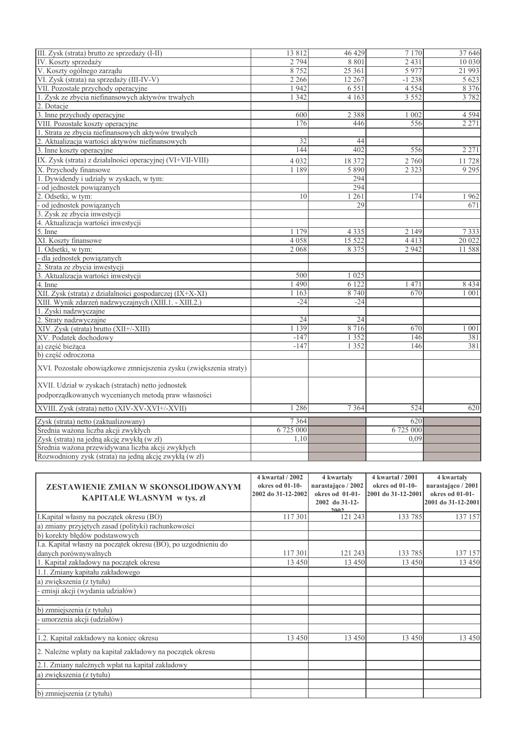|                                                                    | 13812     | 46 429          |           |         |
|--------------------------------------------------------------------|-----------|-----------------|-----------|---------|
| III. Zysk (strata) brutto ze sprzedaży (I-II)                      |           |                 | 7 1 7 0   | 37 646  |
| IV. Koszty sprzedaży                                               | 2 7 9 4   | 8 8 0 1         | 2431      | 10 030  |
| V. Koszty ogólnego zarządu                                         | 8752      | 25 361          | 5 9 7 7   | 21 993  |
| VI. Zysk (strata) na sprzedaży (III-IV-V)                          | 2 2 6 6   | 12 267          | $-1238$   | 5 6 2 3 |
| VII. Pozostałe przychody operacyjne                                | 1942      | 6 5 5 1         | 4 5 5 4   | 8 3 7 6 |
| 1. Zysk ze zbycia niefinansowych aktywów trwałych                  | 1 3 4 2   | 4 1 6 3         | 3 5 5 2   | 3782    |
| 2. Dotacje                                                         |           |                 |           |         |
| 3. Inne przychody operacyjne                                       | 600       | 2 3 8 8         | 1 0 0 2   | 4 5 9 4 |
| VIII. Pozostałe koszty operacyjne                                  | 176       | 446             | 556       | 2 2 7 1 |
| 1. Strata ze zbycia niefinansowych aktywów trwałych                |           |                 |           |         |
| 2. Aktualizacja wartości aktywów niefinansowych                    | 32        | 44              |           |         |
| 3. Inne koszty operacyjne                                          | 144       | 402             | 556       | 2 2 7 1 |
| IX. Zysk (strata) z działalności operacyjnej (VI+VII-VIII)         | 4 0 3 2   | 18 372          | 2 760     | 11728   |
| X. Przychody finansowe                                             | 1 1 8 9   | 5 8 9 0         | 2 3 2 3   | 9 2 9 5 |
| 1. Dywidendy i udziały w zyskach, w tym:                           |           | 294             |           |         |
| od jednostek powiązanych                                           |           | 294             |           |         |
| 2. Odsetki, w tym:                                                 | 10        | 1261            | 174       | 1962    |
| - od jednostek powiązanych                                         |           | $\overline{29}$ |           | 671     |
| 3. Zysk ze zbycia inwestycji                                       |           |                 |           |         |
| 4. Aktualizacja wartości inwestycji                                |           |                 |           |         |
| 5. Inne                                                            | 1179      | 4 3 3 5         | 2 1 4 9   | 7333    |
| XI. Koszty finansowe                                               | 4058      | 15 5 22         | 4413      | 20 022  |
| 1. Odsetki, w tym:                                                 | 2 0 6 8   | 8 3 7 5         | 2 9 4 2   | 11588   |
| dla jednostek powiązanych                                          |           |                 |           |         |
| 2. Strata ze zbycia inwestycji                                     |           |                 |           |         |
| 3. Aktualizacja wartości inwestycji                                | 500       | 1 0 2 5         |           |         |
| 4. Inne                                                            | 490       | 6 1 2 2         | 1471      | 8 4 3 4 |
| XII. Zysk (strata) z działalności gospodarczej (IX+X-XI)           | 1 1 6 3   | 8 7 4 0         | 670       | 1 0 0 1 |
| XIII. Wynik zdarzeń nadzwyczajnych (XIII.1. - XIII.2.)             | $-24$     | $-24$           |           |         |
| 1. Zyski nadzwyczajne                                              |           |                 |           |         |
| 2. Straty nadzwyczajne                                             | 24        | 24              |           |         |
| XIV. Zysk (strata) brutto (XII+/-XIII)                             | 1 1 3 9   | 8716            | 670       | 1001    |
| XV. Podatek dochodowy                                              | $-147$    | 1 3 5 2         | 146       | 381     |
| a) część bieżąca                                                   | $-147$    | 1 3 5 2         | 146       | 381     |
| b) część odroczona                                                 |           |                 |           |         |
|                                                                    |           |                 |           |         |
| XVI. Pozostałe obowiązkowe zmniejszenia zysku (zwiększenia straty) |           |                 |           |         |
| XVII. Udział w zyskach (stratach) netto jednostek                  |           |                 |           |         |
| podporządkowanych wycenianych metodą praw własności                |           |                 |           |         |
|                                                                    |           |                 |           |         |
| XVIII. Zysk (strata) netto (XIV-XV-XVI+/-XVII)                     | 1 2 8 6   | 7 3 6 4         | 524       | 620     |
| Zysk (strata) netto (zaktualizowany)                               | 7 3 6 4   |                 | 620       |         |
| Średnia ważona liczba akcji zwykłych                               | 6 725 000 |                 | 6 725 000 |         |
| Zysk (strata) na jedną akcję zwykłą (w zł)                         | 1,10      |                 | 0.09      |         |
| Średnia ważona przewidywana liczba akcji zwykłych                  |           |                 |           |         |
| Rozwodniony zysk (strata) na jedną akcję zwykłą (w zł)             |           |                 |           |         |
|                                                                    |           |                 |           |         |

|                                                                | 4 kwartał / 2002   | 4 kwartały         | 4 kwartał / 2001   | 4 kwartały         |
|----------------------------------------------------------------|--------------------|--------------------|--------------------|--------------------|
| ZESTAWIENIE ZMIAN W SKONSOLIDOWANYM                            | okres od 01-10-    | narastająco / 2002 | okres od 01-10-    | narastająco / 2001 |
| KAPITALE WŁASNYM w tys. zł                                     | 2002 do 31-12-2002 | okres od 01-01-    | 2001 do 31-12-2001 | okres od 01-01-    |
|                                                                |                    | 2002 do 31-12-     |                    | 2001 do 31-12-2001 |
| I.Kapitał własny na początek okresu (BO)                       | 117 301            | 2002<br>121 243    | 133 785            | 137 157            |
|                                                                |                    |                    |                    |                    |
| a) zmiany przyjętych zasad (polityki) rachunkowości            |                    |                    |                    |                    |
| b) korekty błędów podstawowych                                 |                    |                    |                    |                    |
| I.a. Kapitał własny na początek okresu (BO), po uzgodnieniu do |                    |                    |                    |                    |
| danych porównywalnych                                          | 117 301            | 121 243            | 133 785            | 137 157            |
| 1. Kapitał zakładowy na początek okresu                        | 13 4 50            | 13 4 5 0           | 13 4 5 0           | 13 450             |
| 1.1. Zmiany kapitału zakładowego                               |                    |                    |                    |                    |
| a) zwiększenia (z tytułu)                                      |                    |                    |                    |                    |
| - emisji akcji (wydania udziałów)                              |                    |                    |                    |                    |
|                                                                |                    |                    |                    |                    |
| b) zmniejszenia (z tytułu)                                     |                    |                    |                    |                    |
| - umorzenia akcji (udziałów)                                   |                    |                    |                    |                    |
|                                                                |                    |                    |                    |                    |
| 1.2. Kapitał zakładowy na koniec okresu                        | 13 450             | 13 450             | 13 4 50            | 13 450             |
| 2. Należne wpłaty na kapitał zakładowy na początek okresu      |                    |                    |                    |                    |
| 2.1. Zmiany należnych wpłat na kapitał zakładowy               |                    |                    |                    |                    |
| a) zwiększenia (z tytułu)                                      |                    |                    |                    |                    |
|                                                                |                    |                    |                    |                    |
| b) zmniejszenia (z tytułu)                                     |                    |                    |                    |                    |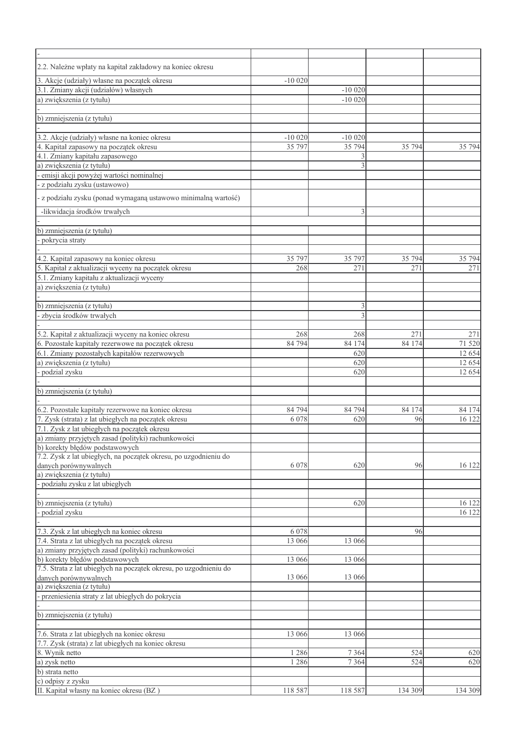| 2.2. Należne wpłaty na kapitał zakładowy na koniec okresu                                           |           |                        |         |                  |
|-----------------------------------------------------------------------------------------------------|-----------|------------------------|---------|------------------|
|                                                                                                     |           |                        |         |                  |
| 3. Akcje (udziały) własne na początek okresu                                                        | $-100020$ |                        |         |                  |
| 3.1. Zmiany akcji (udziałów) własnych<br>a) zwiększenia (z tytułu)                                  |           | $-100020$<br>$-100020$ |         |                  |
|                                                                                                     |           |                        |         |                  |
| b) zmniejszenia (z tytułu)                                                                          |           |                        |         |                  |
|                                                                                                     |           |                        |         |                  |
| 3.2. Akcje (udziały) własne na koniec okresu                                                        | $-10020$  | $-100020$              |         |                  |
| 4. Kapitał zapasowy na początek okresu                                                              | 35 797    | 35 794                 | 35 794  | 35 794           |
| 4.1. Zmiany kapitału zapasowego                                                                     |           |                        |         |                  |
| a) zwiększenia (z tytułu)                                                                           |           | 3                      |         |                  |
| emisji akcji powyżej wartości nominalnej                                                            |           |                        |         |                  |
| z podziału zysku (ustawowo)                                                                         |           |                        |         |                  |
| - z podziału zysku (ponad wymaganą ustawowo minimalną wartość)                                      |           |                        |         |                  |
| -likwidacja środków trwałych                                                                        |           | 3                      |         |                  |
|                                                                                                     |           |                        |         |                  |
| b) zmniejszenia (z tytułu)                                                                          |           |                        |         |                  |
| pokrycia straty                                                                                     |           |                        |         |                  |
|                                                                                                     |           |                        |         |                  |
| 4.2. Kapitał zapasowy na koniec okresu                                                              | 35 797    | 35 797                 | 35 794  | 35 794           |
| 5. Kapitał z aktualizacji wyceny na początek okresu                                                 | 268       | 271                    | 271     | 271              |
| 5.1. Zmiany kapitału z aktualizacji wyceny                                                          |           |                        |         |                  |
| a) zwiększenia (z tytułu)                                                                           |           |                        |         |                  |
|                                                                                                     |           |                        |         |                  |
| b) zmniejszenia (z tytułu)                                                                          |           | 3                      |         |                  |
| zbycia środków trwałych                                                                             |           |                        |         |                  |
|                                                                                                     |           |                        |         |                  |
| 5.2. Kapitał z aktualizacji wyceny na koniec okresu                                                 | 268       | 268                    | 271     | 271              |
| 6. Pozostałe kapitały rezerwowe na początek okresu                                                  | 84 794    | 84 174                 | 84 174  | 71 520           |
| 6.1. Zmiany pozostałych kapitałów rezerwowych<br>a) zwiększenia (z tytułu)                          |           | 620<br>620             |         | 12 654<br>12 654 |
| podzial zysku                                                                                       |           | 620                    |         | 12 654           |
|                                                                                                     |           |                        |         |                  |
| b) zmniejszenia (z tytułu)                                                                          |           |                        |         |                  |
|                                                                                                     |           |                        |         |                  |
| 6.2. Pozostałe kapitały rezerwowe na koniec okresu                                                  | 84 794    | 84 794                 | 84 174  | 84 174           |
| 7. Zysk (strata) z lat ubiegłych na początek okresu                                                 | 6 0 78    | 620                    | 96      | 16 122           |
| 7.1. Zysk z lat ubiegłych na początek okresu<br>a) zmiany przyjętych zasad (polityki) rachunkowości |           |                        |         |                  |
|                                                                                                     |           |                        |         |                  |
| b) korekty błędów podstawowych                                                                      |           |                        |         |                  |
| 7.2. Zysk z lat ubiegłych, na początek okresu, po uzgodnieniu do                                    |           |                        |         |                  |
| danych porównywalnych<br>a) zwiększenia (z tytułu)                                                  | 6 0 7 8   | 620                    | 96      | 16 122           |
| podziału zysku z lat ubiegłych                                                                      |           |                        |         |                  |
|                                                                                                     |           |                        |         |                  |
| b) zmniejszenia (z tytułu)                                                                          |           | 620                    |         | 16 122           |
| - podzial zysku                                                                                     |           |                        |         | 16 122           |
|                                                                                                     |           |                        |         |                  |
| 7.3. Zysk z lat ubiegłych na koniec okresu                                                          | 6 0 7 8   |                        | 96      |                  |
| 7.4. Strata z lat ubiegłych na początek okresu                                                      | 13 066    | 13 066                 |         |                  |
| a) zmiany przyjętych zasad (polityki) rachunkowości                                                 |           |                        |         |                  |
| b) korekty błędów podstawowych                                                                      | 13 066    | 13 066                 |         |                  |
| 7.5. Strata z lat ubiegłych na początek okresu, po uzgodnieniu do                                   |           |                        |         |                  |
| danych porównywalnych                                                                               | 13 066    | 13 066                 |         |                  |
| a) zwiększenia (z tytułu)<br>- przeniesienia straty z lat ubiegłych do pokrycia                     |           |                        |         |                  |
|                                                                                                     |           |                        |         |                  |
| b) zmniejszenia (z tytułu)                                                                          |           |                        |         |                  |
|                                                                                                     |           |                        |         |                  |
| 7.6. Strata z lat ubiegłych na koniec okresu                                                        | 13 066    | 13 066                 |         |                  |
| 7.7. Zysk (strata) z lat ubiegłych na koniec okresu                                                 |           |                        |         |                  |
| 8. Wynik netto                                                                                      | 1 2 8 6   | 7 3 6 4                | 524     | 620              |
| a) zysk netto                                                                                       | 1 2 8 6   | 7 3 6 4                | 524     | 620              |
| b) strata netto                                                                                     |           |                        |         |                  |
| c) odpisy z zysku                                                                                   |           |                        |         |                  |
| II. Kapitał własny na koniec okresu (BZ)                                                            | 118 587   | 118 587                | 134 309 | 134 309          |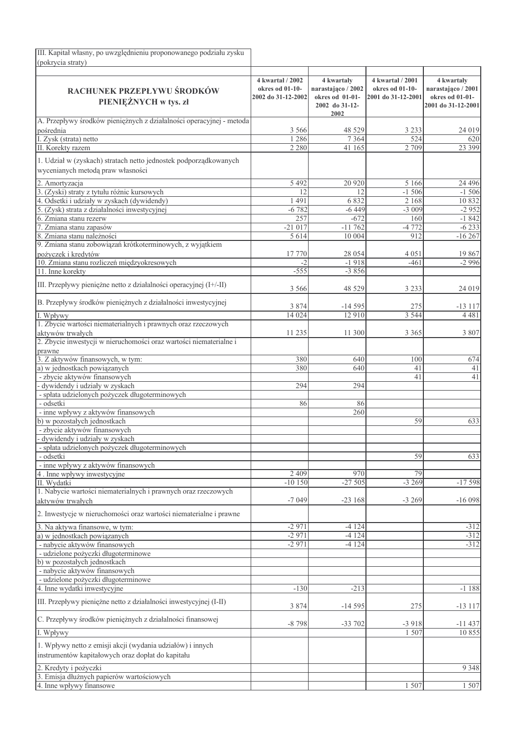| III. Kapitał własny, po uwzględnieniu proponowanego podziału zysku                                              |                                                           |                                                                               |                                                           |                                                                           |
|-----------------------------------------------------------------------------------------------------------------|-----------------------------------------------------------|-------------------------------------------------------------------------------|-----------------------------------------------------------|---------------------------------------------------------------------------|
| (pokrycia straty)                                                                                               |                                                           |                                                                               |                                                           |                                                                           |
| RACHUNEK PRZEPŁYWU ŚRODKÓW<br>PIENIĘŻNYCH w tys. zł                                                             | 4 kwartał / 2002<br>okres od 01-10-<br>2002 do 31-12-2002 | 4 kwartały<br>narastająco / 2002<br>okres od 01-01-<br>2002 do 31-12-<br>2002 | 4 kwartał / 2001<br>okres od 01-10-<br>2001 do 31-12-2001 | 4 kwartały<br>narastająco / 2001<br>okres od 01-01-<br>2001 do 31-12-2001 |
| A. Przepływy środków pieniężnych z działalności operacyjnej - metoda                                            |                                                           |                                                                               |                                                           |                                                                           |
| pośrednia                                                                                                       | 3 5 6 6                                                   | 48 5 29                                                                       | 3 2 3 3                                                   | 24 019                                                                    |
| I. Zysk (strata) netto<br>II. Korekty razem                                                                     | 1 2 8 6<br>2 2 8 0                                        | 7364<br>41 165                                                                | 524<br>2 7 0 9                                            | 620<br>23 399                                                             |
|                                                                                                                 |                                                           |                                                                               |                                                           |                                                                           |
| 1. Udział w (zyskach) stratach netto jednostek podporządkowanych<br>wycenianych metodą praw własności           |                                                           |                                                                               |                                                           |                                                                           |
| 2. Amortyzacja                                                                                                  | 5 4 9 2                                                   | 20 9 20                                                                       | 5 1 6 6                                                   | 24 4 9 6                                                                  |
| 13.<br>(Zyski) straty z tytułu różnic kursowych                                                                 | 12                                                        | 12                                                                            | $-1,506$                                                  | $-1506$                                                                   |
| Odsetki i udziały w zyskach (dywidendy)<br>14.                                                                  | 1 4 9 1<br>$-6782$                                        | 6832<br>$-6449$                                                               | 2 1 6 8<br>$-3009$                                        | 10 832<br>$-2952$                                                         |
| (Zysk) strata z działalności inwestycyjnej<br>6. Zmiana stanu rezerw                                            | 257                                                       | $-672$                                                                        | 160                                                       | $-1842$                                                                   |
| 7. Zmiana stanu zapasów                                                                                         | $-21017$                                                  | $-11762$                                                                      | $-4772$                                                   | $-6233$                                                                   |
| 8. Zmiana stanu należności                                                                                      | 5614                                                      | 10 004                                                                        | 912                                                       | $-16267$                                                                  |
| 9. Zmiana stanu zobowiązań krótkoterminowych, z wyjątkiem                                                       |                                                           |                                                                               |                                                           |                                                                           |
| pożyczek i kredytów                                                                                             | 17 770                                                    | 28 0 54                                                                       | 4 0 5 1                                                   | 19 867                                                                    |
| 10. Zmiana stanu rozliczeń międzyokresowych                                                                     | $-2$                                                      | $-1918$                                                                       | $-461$                                                    | $-2996$                                                                   |
| 11. Inne korekty                                                                                                | $-555$                                                    | $-3856$                                                                       |                                                           |                                                                           |
| III. Przepływy pieniężne netto z działalności operacyjnej (I+/-II)                                              | 3 5 6 6                                                   | 48 5 29                                                                       | 3 2 3 3                                                   | 24 019                                                                    |
| B. Przepływy środków pieniężnych z działalności inwestycyjnej                                                   | 3 8 7 4                                                   | $-14595$                                                                      | 275                                                       | $-13117$                                                                  |
| I. Wpływy                                                                                                       | 14 0 24                                                   | 12910                                                                         | 3 5 4 4                                                   | 4 4 8 1                                                                   |
| 1. Zbycie wartości niematerialnych i prawnych oraz rzeczowych                                                   |                                                           |                                                                               |                                                           |                                                                           |
| aktywów trwałych                                                                                                | 11 235                                                    | 11 300                                                                        | 3 3 6 5                                                   | 3 8 0 7                                                                   |
| 2. Zbycie inwestycji w nieruchomości oraz wartości niematerialne i                                              |                                                           |                                                                               |                                                           |                                                                           |
| prawne                                                                                                          |                                                           |                                                                               |                                                           |                                                                           |
| 3. Z aktywów finansowych, w tym:<br>a) w jednostkach powiązanych                                                | 380<br>380                                                | 640<br>640                                                                    | 100<br>41                                                 | 674<br>41                                                                 |
| - zbycie aktywów finansowych                                                                                    |                                                           |                                                                               | 41                                                        | 41                                                                        |
| - dywidendy i udziały w zyskach                                                                                 | 294                                                       | 294                                                                           |                                                           |                                                                           |
| - spłata udzielonych pożyczek długoterminowych                                                                  |                                                           |                                                                               |                                                           |                                                                           |
| - odsetki                                                                                                       | 86                                                        | 86                                                                            |                                                           |                                                                           |
| - inne wpływy z aktywów finansowych                                                                             |                                                           | 260                                                                           |                                                           |                                                                           |
| b) w pozostałych jednostkach                                                                                    |                                                           |                                                                               | 59                                                        | 633                                                                       |
| - zbycie aktywów finansowych<br>dywidendy i udziały w zyskach                                                   |                                                           |                                                                               |                                                           |                                                                           |
| - spłata udzielonych pożyczek długoterminowych                                                                  |                                                           |                                                                               |                                                           |                                                                           |
| - odsetki                                                                                                       |                                                           |                                                                               | 59                                                        | 633                                                                       |
| - inne wpływy z aktywów finansowych                                                                             |                                                           |                                                                               |                                                           |                                                                           |
| 4. Inne wpływy inwestycyjne                                                                                     | 2 4 0 9                                                   | 970                                                                           | 79                                                        |                                                                           |
| II. Wydatki                                                                                                     | $-10150$                                                  | $-27505$                                                                      | $-3269$                                                   | $-17598$                                                                  |
| 1. Nabycie wartości niematerialnych i prawnych oraz rzeczowych<br>aktywów trwałych                              | $-7049$                                                   | $-23168$                                                                      | $-3269$                                                   | $-16098$                                                                  |
| 2. Inwestycje w nieruchomości oraz wartości niematerialne i prawne                                              |                                                           |                                                                               |                                                           |                                                                           |
| 3. Na aktywa finansowe, w tym:<br>a) w jednostkach powiązanych                                                  | $-2971$<br>$-2971$                                        | $-4124$<br>$-4124$                                                            |                                                           | $-312$<br>$-312$                                                          |
| - nabycie aktywów finansowych                                                                                   | $-2971$                                                   | $-4124$                                                                       |                                                           | $-312$                                                                    |
| - udzielone pożyczki długoterminowe                                                                             |                                                           |                                                                               |                                                           |                                                                           |
| b) w pozostałych jednostkach                                                                                    |                                                           |                                                                               |                                                           |                                                                           |
| - nabycie aktywów finansowych                                                                                   |                                                           |                                                                               |                                                           |                                                                           |
| - udzielone pożyczki długoterminowe                                                                             |                                                           |                                                                               |                                                           |                                                                           |
| 4. Inne wydatki inwestycyjne                                                                                    | $-130$                                                    | $-213$                                                                        |                                                           | $-1188$                                                                   |
| III. Przepływy pieniężne netto z działalności inwestycyjnej (I-II)                                              | 3 8 7 4                                                   | $-14595$                                                                      | 275                                                       | $-13117$                                                                  |
| C. Przepływy środków pieniężnych z działalności finansowej                                                      | $-8798$                                                   | $-33702$                                                                      | $-3918$                                                   | $-11437$                                                                  |
| I. Wpływy                                                                                                       |                                                           |                                                                               | 1 507                                                     | 10855                                                                     |
| 1. Wpływy netto z emisji akcji (wydania udziałów) i innych<br>instrumentów kapitałowych oraz dopłat do kapitału |                                                           |                                                                               |                                                           |                                                                           |
| 2. Kredyty i pożyczki                                                                                           |                                                           |                                                                               |                                                           | 9 3 4 8                                                                   |
| 3. Emisja dłużnych papierów wartościowych                                                                       |                                                           |                                                                               |                                                           |                                                                           |
| 4. Inne wpływy finansowe                                                                                        |                                                           |                                                                               | 1 507                                                     | 1 507                                                                     |